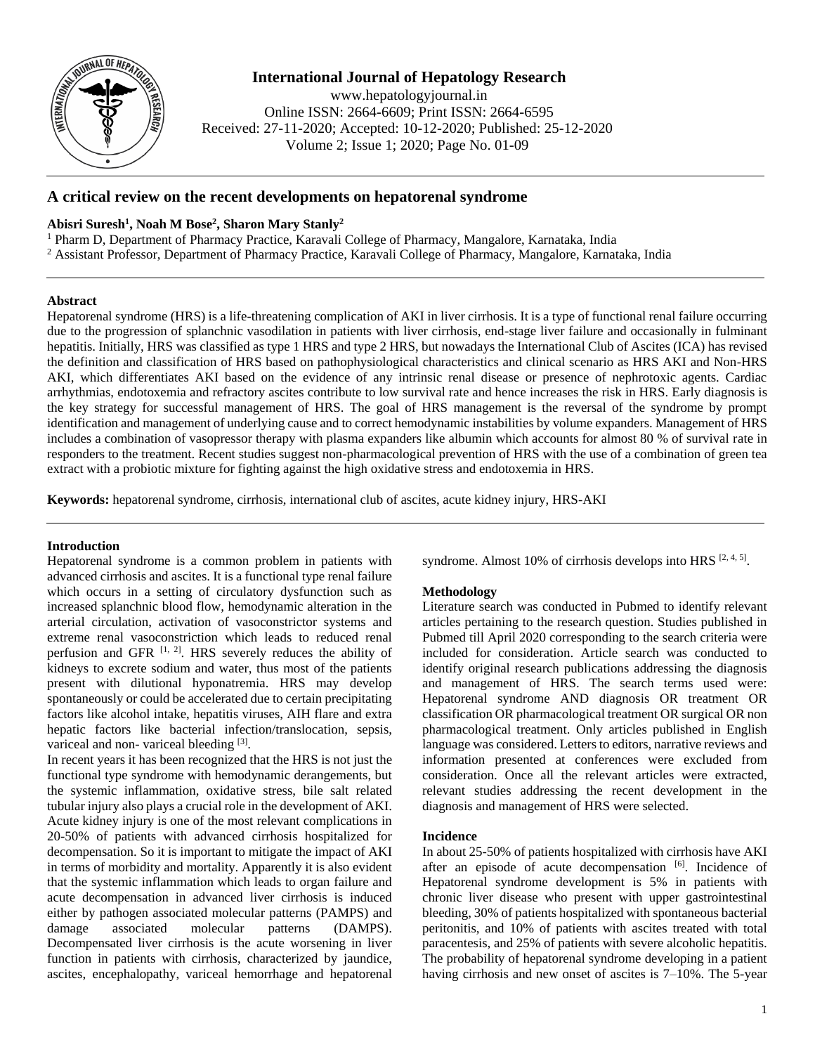

# **International Journal of Hepatology Research**

www.hepatologyjournal.in Online ISSN: 2664-6609; Print ISSN: 2664-6595 Received: 27-11-2020; Accepted: 10-12-2020; Published: 25-12-2020 Volume 2; Issue 1; 2020; Page No. 01-09

# **A critical review on the recent developments on hepatorenal syndrome**

# **Abisri Suresh<sup>1</sup> , Noah M Bose<sup>2</sup> , Sharon Mary Stanly<sup>2</sup>**

<sup>1</sup> Pharm D, Department of Pharmacy Practice, Karavali College of Pharmacy, Mangalore, Karnataka, India <sup>2</sup> Assistant Professor, Department of Pharmacy Practice, Karavali College of Pharmacy, Mangalore, Karnataka, India

## **Abstract**

Hepatorenal syndrome (HRS) is a life-threatening complication of AKI in liver cirrhosis. It is a type of functional renal failure occurring due to the progression of splanchnic vasodilation in patients with liver cirrhosis, end-stage liver failure and occasionally in fulminant hepatitis. Initially, HRS was classified as type 1 HRS and type 2 HRS, but nowadays the International Club of Ascites (ICA) has revised the definition and classification of HRS based on pathophysiological characteristics and clinical scenario as HRS AKI and Non-HRS AKI, which differentiates AKI based on the evidence of any intrinsic renal disease or presence of nephrotoxic agents. Cardiac arrhythmias, endotoxemia and refractory ascites contribute to low survival rate and hence increases the risk in HRS. Early diagnosis is the key strategy for successful management of HRS. The goal of HRS management is the reversal of the syndrome by prompt identification and management of underlying cause and to correct hemodynamic instabilities by volume expanders. Management of HRS includes a combination of vasopressor therapy with plasma expanders like albumin which accounts for almost 80 % of survival rate in responders to the treatment. Recent studies suggest non-pharmacological prevention of HRS with the use of a combination of green tea extract with a probiotic mixture for fighting against the high oxidative stress and endotoxemia in HRS.

**Keywords:** hepatorenal syndrome, cirrhosis, international club of ascites, acute kidney injury, HRS-AKI

# **Introduction**

Hepatorenal syndrome is a common problem in patients with advanced cirrhosis and ascites. It is a functional type renal failure which occurs in a setting of circulatory dysfunction such as increased splanchnic blood flow, hemodynamic alteration in the arterial circulation, activation of vasoconstrictor systems and extreme renal vasoconstriction which leads to reduced renal perfusion and GFR  $[1, 2]$ . HRS severely reduces the ability of kidneys to excrete sodium and water, thus most of the patients present with dilutional hyponatremia. HRS may develop spontaneously or could be accelerated due to certain precipitating factors like alcohol intake, hepatitis viruses, AIH flare and extra hepatic factors like bacterial infection/translocation, sepsis, variceal and non- variceal bleeding [3].

In recent years it has been recognized that the HRS is not just the functional type syndrome with hemodynamic derangements, but the systemic inflammation, oxidative stress, bile salt related tubular injury also plays a crucial role in the development of AKI. Acute kidney injury is one of the most relevant complications in 20-50% of patients with advanced cirrhosis hospitalized for decompensation. So it is important to mitigate the impact of AKI in terms of morbidity and mortality. Apparently it is also evident that the systemic inflammation which leads to organ failure and acute decompensation in advanced liver cirrhosis is induced either by pathogen associated molecular patterns (PAMPS) and damage associated molecular patterns (DAMPS). Decompensated liver cirrhosis is the acute worsening in liver function in patients with cirrhosis, characterized by jaundice, ascites, encephalopathy, variceal hemorrhage and hepatorenal

syndrome. Almost 10% of cirrhosis develops into HRS  $[2, 4, 5]$ .

## **Methodology**

Literature search was conducted in Pubmed to identify relevant articles pertaining to the research question. Studies published in Pubmed till April 2020 corresponding to the search criteria were included for consideration. Article search was conducted to identify original research publications addressing the diagnosis and management of HRS. The search terms used were: Hepatorenal syndrome AND diagnosis OR treatment OR classification OR pharmacological treatment OR surgical OR non pharmacological treatment. Only articles published in English language was considered. Letters to editors, narrative reviews and information presented at conferences were excluded from consideration. Once all the relevant articles were extracted, relevant studies addressing the recent development in the diagnosis and management of HRS were selected.

# **Incidence**

In about 25-50% of patients hospitalized with cirrhosis have AKI after an episode of acute decompensation [6]. Incidence of Hepatorenal syndrome development is 5% in patients with chronic liver disease who present with upper gastrointestinal bleeding, 30% of patients hospitalized with spontaneous bacterial peritonitis, and 10% of patients with ascites treated with total paracentesis, and 25% of patients with severe alcoholic hepatitis. The probability of hepatorenal syndrome developing in a patient having cirrhosis and new onset of ascites is 7–10%. The 5-year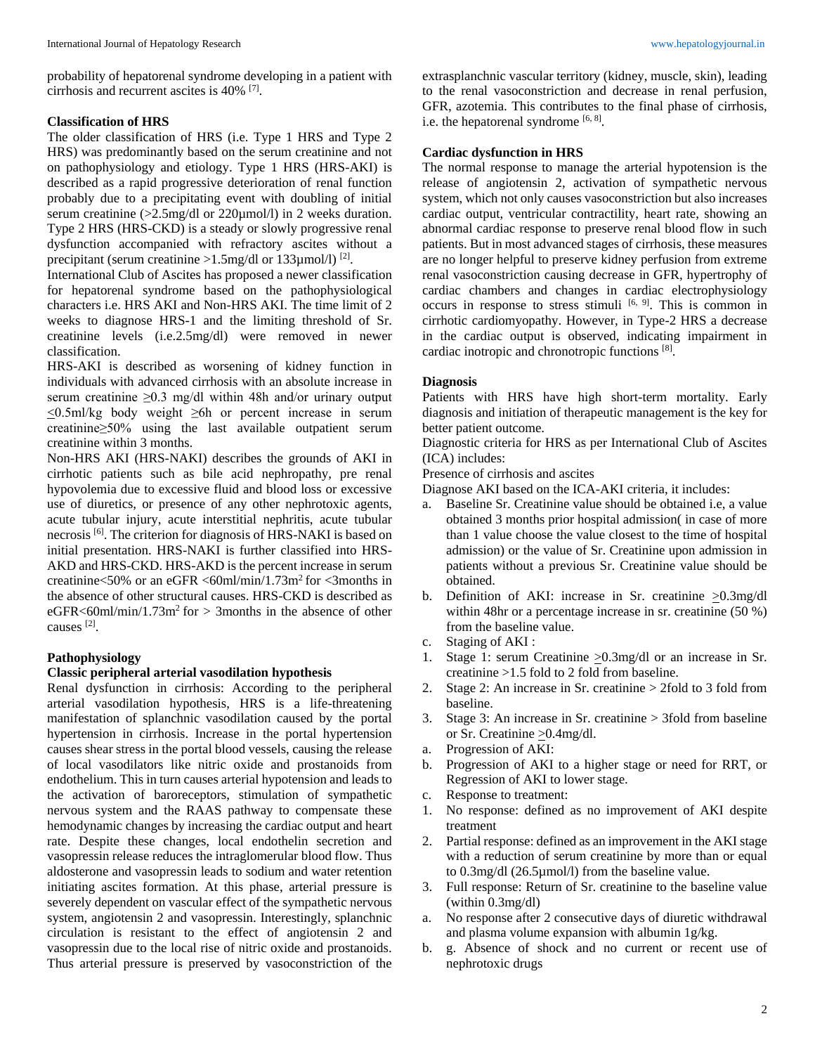# **Classification of HRS**

The older classification of HRS (i.e. Type 1 HRS and Type 2 HRS) was predominantly based on the serum creatinine and not on pathophysiology and etiology. Type 1 HRS (HRS-AKI) is described as a rapid progressive deterioration of renal function probably due to a precipitating event with doubling of initial serum creatinine (>2.5mg/dl or 220µmol/l) in 2 weeks duration. Type 2 HRS (HRS-CKD) is a steady or slowly progressive renal dysfunction accompanied with refractory ascites without a precipitant (serum creatinine  $>1.5$ mg/dl or 133 $\mu$ mol/l)<sup>[2]</sup>.

International Club of Ascites has proposed a newer classification for hepatorenal syndrome based on the pathophysiological characters i.e. HRS AKI and Non-HRS AKI. The time limit of 2 weeks to diagnose HRS-1 and the limiting threshold of Sr. creatinine levels (i.e.2.5mg/dl) were removed in newer classification.

HRS-AKI is described as worsening of kidney function in individuals with advanced cirrhosis with an absolute increase in serum creatinine  $\geq 0.3$  mg/dl within 48h and/or urinary output <0.5ml/kg body weight ≥6h or percent increase in serum creatinine≥50% using the last available outpatient serum creatinine within 3 months.

Non-HRS AKI (HRS-NAKI) describes the grounds of AKI in cirrhotic patients such as bile acid nephropathy, pre renal hypovolemia due to excessive fluid and blood loss or excessive use of diuretics, or presence of any other nephrotoxic agents, acute tubular injury, acute interstitial nephritis, acute tubular necrosis<sup>[6]</sup>. The criterion for diagnosis of HRS-NAKI is based on initial presentation. HRS-NAKI is further classified into HRS-AKD and HRS-CKD. HRS-AKD is the percent increase in serum creatinine<50% or an eGFR  $\langle 60 \text{m} \rangle / 1.73 \text{m}^2$  for  $\langle 3 \text{months in} \rangle$ the absence of other structural causes. HRS-CKD is described as eGFR<60ml/min/1.73m<sup>2</sup> for  $>$  3months in the absence of other causes [2] .

# **Pathophysiology**

# **Classic peripheral arterial vasodilation hypothesis**

Renal dysfunction in cirrhosis: According to the peripheral arterial vasodilation hypothesis, HRS is a life-threatening manifestation of splanchnic vasodilation caused by the portal hypertension in cirrhosis. Increase in the portal hypertension causes shear stress in the portal blood vessels, causing the release of local vasodilators like nitric oxide and prostanoids from endothelium. This in turn causes arterial hypotension and leads to the activation of baroreceptors, stimulation of sympathetic nervous system and the RAAS pathway to compensate these hemodynamic changes by increasing the cardiac output and heart rate. Despite these changes, local endothelin secretion and vasopressin release reduces the intraglomerular blood flow. Thus aldosterone and vasopressin leads to sodium and water retention initiating ascites formation. At this phase, arterial pressure is severely dependent on vascular effect of the sympathetic nervous system, angiotensin 2 and vasopressin. Interestingly, splanchnic circulation is resistant to the effect of angiotensin 2 and vasopressin due to the local rise of nitric oxide and prostanoids. Thus arterial pressure is preserved by vasoconstriction of the

extrasplanchnic vascular territory (kidney, muscle, skin), leading to the renal vasoconstriction and decrease in renal perfusion, GFR, azotemia. This contributes to the final phase of cirrhosis, i.e. the hepatorenal syndrome  $[6, 8]$ .

## **Cardiac dysfunction in HRS**

The normal response to manage the arterial hypotension is the release of angiotensin 2, activation of sympathetic nervous system, which not only causes vasoconstriction but also increases cardiac output, ventricular contractility, heart rate, showing an abnormal cardiac response to preserve renal blood flow in such patients. But in most advanced stages of cirrhosis, these measures are no longer helpful to preserve kidney perfusion from extreme renal vasoconstriction causing decrease in GFR, hypertrophy of cardiac chambers and changes in cardiac electrophysiology occurs in response to stress stimuli  $[6, 9]$ . This is common in cirrhotic cardiomyopathy. However, in Type-2 HRS a decrease in the cardiac output is observed, indicating impairment in cardiac inotropic and chronotropic functions [8].

# **Diagnosis**

Patients with HRS have high short-term mortality. Early diagnosis and initiation of therapeutic management is the key for better patient outcome.

Diagnostic criteria for HRS as per International Club of Ascites (ICA) includes:

Presence of cirrhosis and ascites

Diagnose AKI based on the ICA-AKI criteria, it includes:

- a. Baseline Sr. Creatinine value should be obtained i.e, a value obtained 3 months prior hospital admission( in case of more than 1 value choose the value closest to the time of hospital admission) or the value of Sr. Creatinine upon admission in patients without a previous Sr. Creatinine value should be obtained.
- b. Definition of AKI: increase in Sr. creatinine >0.3mg/dl within 48hr or a percentage increase in sr. creatinine (50 %) from the baseline value.
- c. Staging of AKI :
- 1. Stage 1: serum Creatinine  $\geq 0.3$ mg/dl or an increase in Sr. creatinine >1.5 fold to 2 fold from baseline.
- 2. Stage 2: An increase in Sr. creatinine > 2fold to 3 fold from baseline.
- 3. Stage 3: An increase in Sr. creatinine > 3fold from baseline or Sr. Creatinine >0.4mg/dl.
- a. Progression of AKI:
- b. Progression of AKI to a higher stage or need for RRT, or Regression of AKI to lower stage.
- c. Response to treatment:
- 1. No response: defined as no improvement of AKI despite treatment
- 2. Partial response: defined as an improvement in the AKI stage with a reduction of serum creatinine by more than or equal to 0.3mg/dl (26.5µmol/l) from the baseline value.
- 3. Full response: Return of Sr. creatinine to the baseline value (within 0.3mg/dl)
- a. No response after 2 consecutive days of diuretic withdrawal and plasma volume expansion with albumin 1g/kg.
- b. g. Absence of shock and no current or recent use of nephrotoxic drugs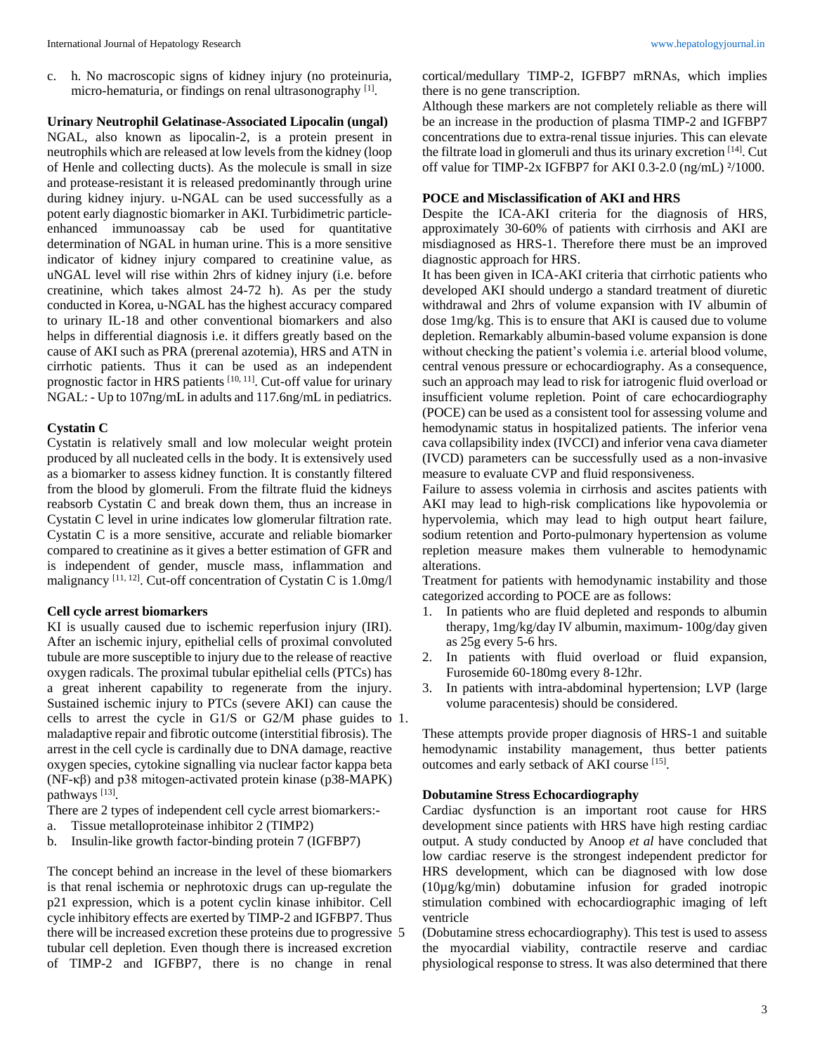c. h. No macroscopic signs of kidney injury (no proteinuria, micro-hematuria, or findings on renal ultrasonography [1].

# **Urinary Neutrophil Gelatinase-Associated Lipocalin (ungal)**

NGAL, also known as lipocalin-2, is a protein present in neutrophils which are released at low levels from the kidney (loop of Henle and collecting ducts). As the molecule is small in size and protease-resistant it is released predominantly through urine during kidney injury. u-NGAL can be used successfully as a potent early diagnostic biomarker in AKI. Turbidimetric particleenhanced immunoassay cab be used for quantitative determination of NGAL in human urine. This is a more sensitive indicator of kidney injury compared to creatinine value, as uNGAL level will rise within 2hrs of kidney injury (i.e. before creatinine, which takes almost 24-72 h). As per the study conducted in Korea, u-NGAL has the highest accuracy compared to urinary IL-18 and other conventional biomarkers and also helps in differential diagnosis i.e. it differs greatly based on the cause of AKI such as PRA (prerenal azotemia), HRS and ATN in cirrhotic patients. Thus it can be used as an independent prognostic factor in HRS patients [10, 11]. Cut-off value for urinary NGAL: - Up to 107ng/mL in adults and 117.6ng/mL in pediatrics.

#### **Cystatin C**

Cystatin is relatively small and low molecular weight protein produced by all nucleated cells in the body. It is extensively used as a biomarker to assess kidney function. It is constantly filtered from the blood by glomeruli. From the filtrate fluid the kidneys reabsorb Cystatin C and break down them, thus an increase in Cystatin C level in urine indicates low glomerular filtration rate. Cystatin C is a more sensitive, accurate and reliable biomarker compared to creatinine as it gives a better estimation of GFR and is independent of gender, muscle mass, inflammation and malignancy [11, 12]. Cut-off concentration of Cystatin C is 1.0mg/l

#### **Cell cycle arrest biomarkers**

KI is usually caused due to ischemic reperfusion injury (IRI). After an ischemic injury, epithelial cells of proximal convoluted tubule are more susceptible to injury due to the release of reactive oxygen radicals. The proximal tubular epithelial cells (PTCs) has a great inherent capability to regenerate from the injury. Sustained ischemic injury to PTCs (severe AKI) can cause the cells to arrest the cycle in G1/S or G2/M phase guides to 1. maladaptive repair and fibrotic outcome (interstitial fibrosis). The arrest in the cell cycle is cardinally due to DNA damage, reactive oxygen species, cytokine signalling via nuclear factor kappa beta (NF-κβ) and p38 mitogen-activated protein kinase (p38-MAPK) pathways<sup>[13]</sup>.

There are 2 types of independent cell cycle arrest biomarkers:-

- a. Tissue metalloproteinase inhibitor 2 (TIMP2)
- b. Insulin-like growth factor-binding protein 7 (IGFBP7)

The concept behind an increase in the level of these biomarkers is that renal ischemia or nephrotoxic drugs can up-regulate the p21 expression, which is a potent cyclin kinase inhibitor. Cell cycle inhibitory effects are exerted by TIMP-2 and IGFBP7. Thus there will be increased excretion these proteins due to progressive tubular cell depletion. Even though there is increased excretion of TIMP-2 and IGFBP7, there is no change in renal

cortical/medullary TIMP-2, IGFBP7 mRNAs, which implies there is no gene transcription.

Although these markers are not completely reliable as there will be an increase in the production of plasma TIMP-2 and IGFBP7 concentrations due to extra-renal tissue injuries. This can elevate the filtrate load in glomeruli and thus its urinary excretion [14]. Cut off value for TIMP-2x IGFBP7 for AKI 0.3-2.0 (ng/mL) ²/1000.

### **POCE and Misclassification of AKI and HRS**

Despite the ICA-AKI criteria for the diagnosis of HRS, approximately 30-60% of patients with cirrhosis and AKI are misdiagnosed as HRS-1. Therefore there must be an improved diagnostic approach for HRS.

It has been given in ICA-AKI criteria that cirrhotic patients who developed AKI should undergo a standard treatment of diuretic withdrawal and 2hrs of volume expansion with IV albumin of dose 1mg/kg. This is to ensure that AKI is caused due to volume depletion. Remarkably albumin-based volume expansion is done without checking the patient's volemia i.e. arterial blood volume, central venous pressure or echocardiography. As a consequence, such an approach may lead to risk for iatrogenic fluid overload or insufficient volume repletion. Point of care echocardiography (POCE) can be used as a consistent tool for assessing volume and hemodynamic status in hospitalized patients. The inferior vena cava collapsibility index (IVCCI) and inferior vena cava diameter (IVCD) parameters can be successfully used as a non-invasive measure to evaluate CVP and fluid responsiveness.

Failure to assess volemia in cirrhosis and ascites patients with AKI may lead to high-risk complications like hypovolemia or hypervolemia, which may lead to high output heart failure, sodium retention and Porto-pulmonary hypertension as volume repletion measure makes them vulnerable to hemodynamic alterations.

Treatment for patients with hemodynamic instability and those categorized according to POCE are as follows:

- 1. In patients who are fluid depleted and responds to albumin therapy, 1mg/kg/day IV albumin, maximum- 100g/day given as 25g every 5-6 hrs.
- 2. In patients with fluid overload or fluid expansion, Furosemide 60-180mg every 8-12hr.
- 3. In patients with intra-abdominal hypertension; LVP (large volume paracentesis) should be considered.

These attempts provide proper diagnosis of HRS-1 and suitable hemodynamic instability management, thus better patients outcomes and early setback of AKI course [15].

## **Dobutamine Stress Echocardiography**

Cardiac dysfunction is an important root cause for HRS development since patients with HRS have high resting cardiac output. A study conducted by Anoop *et al* have concluded that low cardiac reserve is the strongest independent predictor for HRS development, which can be diagnosed with low dose (10µg/kg/min) dobutamine infusion for graded inotropic stimulation combined with echocardiographic imaging of left ventricle

5 (Dobutamine stress echocardiography). This test is used to assess the myocardial viability, contractile reserve and cardiac physiological response to stress. It was also determined that there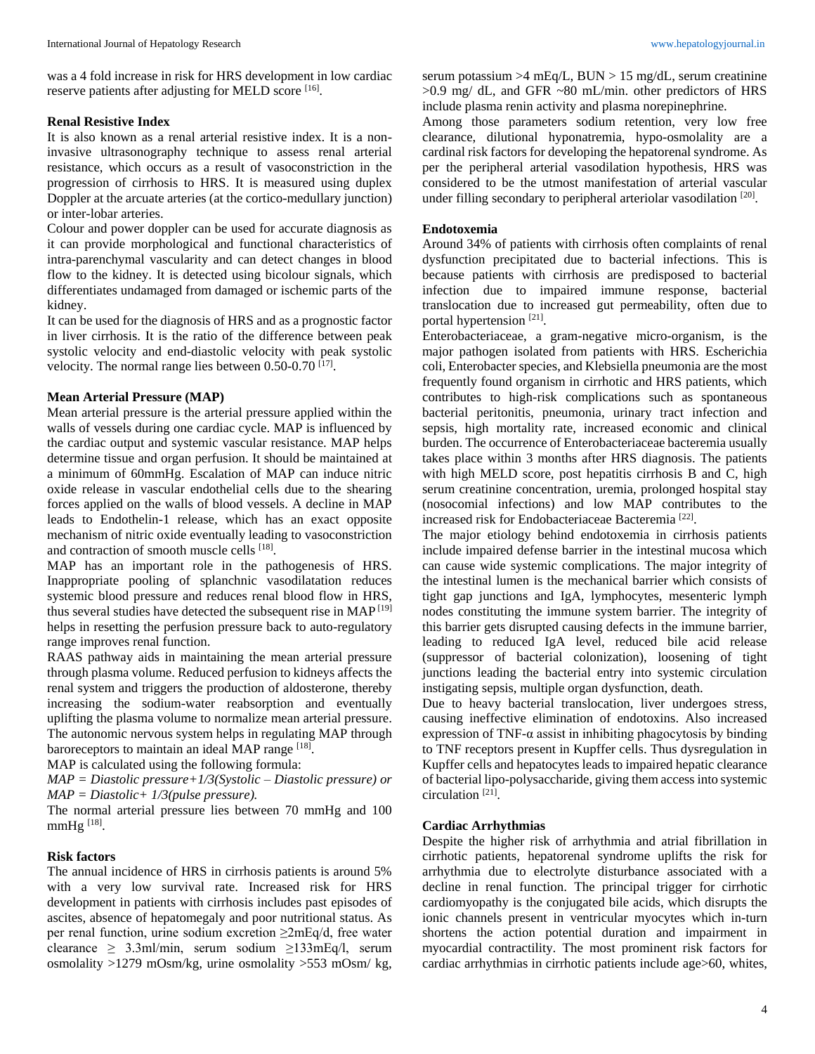was a 4 fold increase in risk for HRS development in low cardiac reserve patients after adjusting for MELD score [16].

#### **Renal Resistive Index**

It is also known as a renal arterial resistive index. It is a noninvasive ultrasonography technique to assess renal arterial resistance, which occurs as a result of vasoconstriction in the progression of cirrhosis to HRS. It is measured using duplex Doppler at the arcuate arteries (at the cortico-medullary junction) or inter-lobar arteries.

Colour and power doppler can be used for accurate diagnosis as it can provide morphological and functional characteristics of intra-parenchymal vascularity and can detect changes in blood flow to the kidney. It is detected using bicolour signals, which differentiates undamaged from damaged or ischemic parts of the kidney.

It can be used for the diagnosis of HRS and as a prognostic factor in liver cirrhosis. It is the ratio of the difference between peak systolic velocity and end-diastolic velocity with peak systolic velocity. The normal range lies between  $0.50$ - $0.70$  <sup>[17]</sup>.

#### **Mean Arterial Pressure (MAP)**

Mean arterial pressure is the arterial pressure applied within the walls of vessels during one cardiac cycle. MAP is influenced by the cardiac output and systemic vascular resistance. MAP helps determine tissue and organ perfusion. It should be maintained at a minimum of 60mmHg. Escalation of MAP can induce nitric oxide release in vascular endothelial cells due to the shearing forces applied on the walls of blood vessels. A decline in MAP leads to Endothelin-1 release, which has an exact opposite mechanism of nitric oxide eventually leading to vasoconstriction and contraction of smooth muscle cells [18].

MAP has an important role in the pathogenesis of HRS. Inappropriate pooling of splanchnic vasodilatation reduces systemic blood pressure and reduces renal blood flow in HRS, thus several studies have detected the subsequent rise in MAP [19] helps in resetting the perfusion pressure back to auto-regulatory range improves renal function.

RAAS pathway aids in maintaining the mean arterial pressure through plasma volume. Reduced perfusion to kidneys affects the renal system and triggers the production of aldosterone, thereby increasing the sodium-water reabsorption and eventually uplifting the plasma volume to normalize mean arterial pressure. The autonomic nervous system helps in regulating MAP through baroreceptors to maintain an ideal MAP range [18].

MAP is calculated using the following formula:

*MAP = Diastolic pressure+1/3(Systolic – Diastolic pressure) or MAP = Diastolic+ 1/3(pulse pressure).*

The normal arterial pressure lies between 70 mmHg and 100 mmHg<sup>[18]</sup>.

### **Risk factors**

The annual incidence of HRS in cirrhosis patients is around 5% with a very low survival rate. Increased risk for HRS development in patients with cirrhosis includes past episodes of ascites, absence of hepatomegaly and poor nutritional status. As per renal function, urine sodium excretion ≥2mEq/d, free water clearance  $\geq$  3.3ml/min, serum sodium  $\geq$ 133mEq/l, serum osmolality >1279 mOsm/kg, urine osmolality >553 mOsm/ kg,

serum potassium >  $4 \text{ mEq/L}$ , BUN > 15 mg/dL, serum creatinine >0.9 mg/ dL, and GFR ~80 mL/min. other predictors of HRS include plasma renin activity and plasma norepinephrine.

Among those parameters sodium retention, very low free clearance, dilutional hyponatremia, hypo-osmolality are a cardinal risk factors for developing the hepatorenal syndrome. As per the peripheral arterial vasodilation hypothesis, HRS was considered to be the utmost manifestation of arterial vascular under filling secondary to peripheral arteriolar vasodilation [20].

#### **Endotoxemia**

Around 34% of patients with cirrhosis often complaints of renal dysfunction precipitated due to bacterial infections. This is because patients with cirrhosis are predisposed to bacterial infection due to impaired immune response, bacterial translocation due to increased gut permeability, often due to portal hypertension<sup>[21]</sup>.

Enterobacteriaceae, a gram-negative micro-organism, is the major pathogen isolated from patients with HRS. Escherichia coli, Enterobacter species, and Klebsiella pneumonia are the most frequently found organism in cirrhotic and HRS patients, which contributes to high-risk complications such as spontaneous bacterial peritonitis, pneumonia, urinary tract infection and sepsis, high mortality rate, increased economic and clinical burden. The occurrence of Enterobacteriaceae bacteremia usually takes place within 3 months after HRS diagnosis. The patients with high MELD score, post hepatitis cirrhosis B and C, high serum creatinine concentration, uremia, prolonged hospital stay (nosocomial infections) and low MAP contributes to the increased risk for Endobacteriaceae Bacteremia [22] .

The major etiology behind endotoxemia in cirrhosis patients include impaired defense barrier in the intestinal mucosa which can cause wide systemic complications. The major integrity of the intestinal lumen is the mechanical barrier which consists of tight gap junctions and IgA, lymphocytes, mesenteric lymph nodes constituting the immune system barrier. The integrity of this barrier gets disrupted causing defects in the immune barrier, leading to reduced IgA level, reduced bile acid release (suppressor of bacterial colonization), loosening of tight junctions leading the bacterial entry into systemic circulation instigating sepsis, multiple organ dysfunction, death.

Due to heavy bacterial translocation, liver undergoes stress, causing ineffective elimination of endotoxins. Also increased expression of TNF- $\alpha$  assist in inhibiting phagocytosis by binding to TNF receptors present in Kupffer cells. Thus dysregulation in Kupffer cells and hepatocytes leads to impaired hepatic clearance of bacterial lipo-polysaccharide, giving them access into systemic circulation [21] .

### **Cardiac Arrhythmias**

Despite the higher risk of arrhythmia and atrial fibrillation in cirrhotic patients, hepatorenal syndrome uplifts the risk for arrhythmia due to electrolyte disturbance associated with a decline in renal function. The principal trigger for cirrhotic cardiomyopathy is the conjugated bile acids, which disrupts the ionic channels present in ventricular myocytes which in-turn shortens the action potential duration and impairment in myocardial contractility. The most prominent risk factors for cardiac arrhythmias in cirrhotic patients include age>60, whites,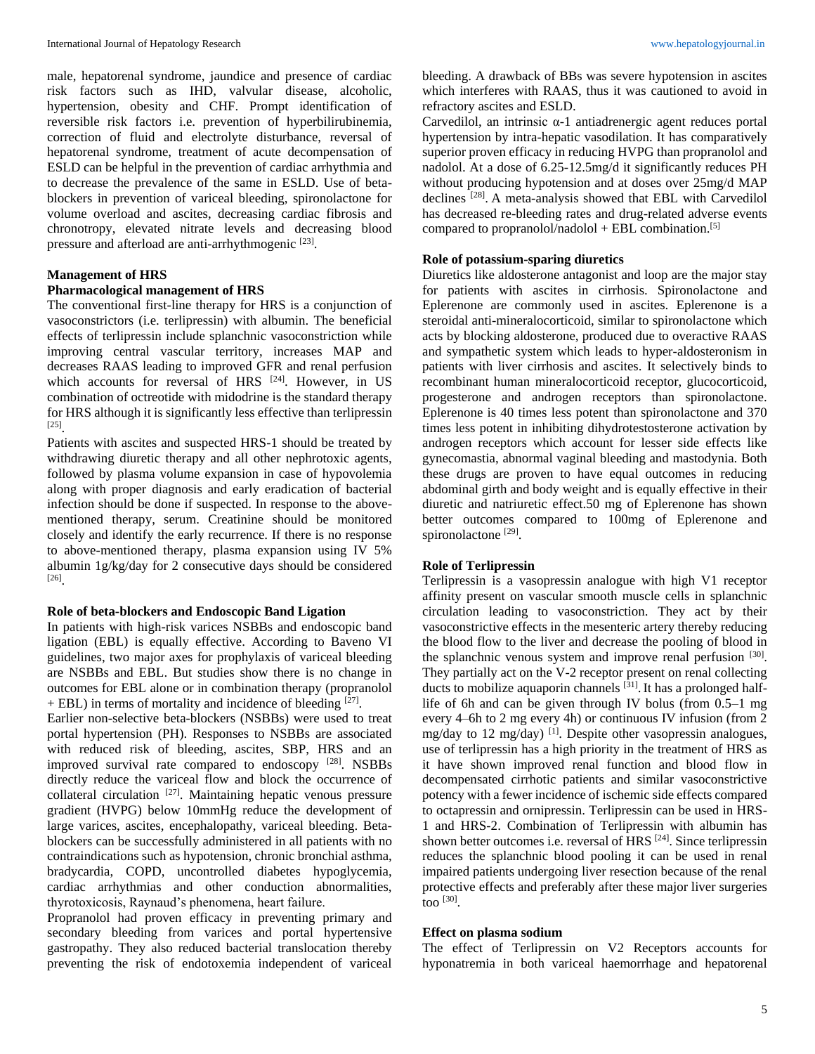male, hepatorenal syndrome, jaundice and presence of cardiac risk factors such as IHD, valvular disease, alcoholic, hypertension, obesity and CHF. Prompt identification of reversible risk factors i.e. prevention of hyperbilirubinemia, correction of fluid and electrolyte disturbance, reversal of hepatorenal syndrome, treatment of acute decompensation of ESLD can be helpful in the prevention of cardiac arrhythmia and to decrease the prevalence of the same in ESLD. Use of betablockers in prevention of variceal bleeding, spironolactone for volume overload and ascites, decreasing cardiac fibrosis and chronotropy, elevated nitrate levels and decreasing blood pressure and afterload are anti-arrhythmogenic<sup>[23]</sup>.

#### **Management of HRS**

#### **Pharmacological management of HRS**

The conventional first-line therapy for HRS is a conjunction of vasoconstrictors (i.e. terlipressin) with albumin. The beneficial effects of terlipressin include splanchnic vasoconstriction while improving central vascular territory, increases MAP and decreases RAAS leading to improved GFR and renal perfusion which accounts for reversal of HRS <sup>[24]</sup>. However, in US combination of octreotide with midodrine is the standard therapy for HRS although it is significantly less effective than terlipressin [25] .

Patients with ascites and suspected HRS-1 should be treated by withdrawing diuretic therapy and all other nephrotoxic agents, followed by plasma volume expansion in case of hypovolemia along with proper diagnosis and early eradication of bacterial infection should be done if suspected. In response to the abovementioned therapy, serum. Creatinine should be monitored closely and identify the early recurrence. If there is no response to above-mentioned therapy, plasma expansion using IV 5% albumin 1g/kg/day for 2 consecutive days should be considered [26] .

#### **Role of beta-blockers and Endoscopic Band Ligation**

In patients with high-risk varices NSBBs and endoscopic band ligation (EBL) is equally effective. According to Baveno VI guidelines, two major axes for prophylaxis of variceal bleeding are NSBBs and EBL. But studies show there is no change in outcomes for EBL alone or in combination therapy (propranolol + EBL) in terms of mortality and incidence of bleeding [27].

Earlier non-selective beta-blockers (NSBBs) were used to treat portal hypertension (PH). Responses to NSBBs are associated with reduced risk of bleeding, ascites, SBP, HRS and an improved survival rate compared to endoscopy  $[28]$ . NSBBs directly reduce the variceal flow and block the occurrence of collateral circulation <sup>[27]</sup>. Maintaining hepatic venous pressure gradient (HVPG) below 10mmHg reduce the development of large varices, ascites, encephalopathy, variceal bleeding. Betablockers can be successfully administered in all patients with no contraindications such as hypotension, chronic bronchial asthma, bradycardia, COPD, uncontrolled diabetes hypoglycemia, cardiac arrhythmias and other conduction abnormalities, thyrotoxicosis, Raynaud's phenomena, heart failure.

Propranolol had proven efficacy in preventing primary and secondary bleeding from varices and portal hypertensive gastropathy. They also reduced bacterial translocation thereby preventing the risk of endotoxemia independent of variceal bleeding. A drawback of BBs was severe hypotension in ascites which interferes with RAAS, thus it was cautioned to avoid in refractory ascites and ESLD.

Carvedilol, an intrinsic α-1 antiadrenergic agent reduces portal hypertension by intra-hepatic vasodilation. It has comparatively superior proven efficacy in reducing HVPG than propranolol and nadolol. At a dose of 6.25-12.5mg/d it significantly reduces PH without producing hypotension and at doses over 25mg/d MAP declines [28] . A meta-analysis showed that EBL with Carvedilol has decreased re-bleeding rates and drug-related adverse events compared to propranolol/nadolol + EBL combination.<sup>[5]</sup>

### **Role of potassium-sparing diuretics**

Diuretics like aldosterone antagonist and loop are the major stay for patients with ascites in cirrhosis. Spironolactone and Eplerenone are commonly used in ascites. Eplerenone is a steroidal anti-mineralocorticoid, similar to spironolactone which acts by blocking aldosterone, produced due to overactive RAAS and sympathetic system which leads to hyper-aldosteronism in patients with liver cirrhosis and ascites. It selectively binds to recombinant human mineralocorticoid receptor, glucocorticoid, progesterone and androgen receptors than spironolactone. Eplerenone is 40 times less potent than spironolactone and 370 times less potent in inhibiting dihydrotestosterone activation by androgen receptors which account for lesser side effects like gynecomastia, abnormal vaginal bleeding and mastodynia. Both these drugs are proven to have equal outcomes in reducing abdominal girth and body weight and is equally effective in their diuretic and natriuretic effect.50 mg of Eplerenone has shown better outcomes compared to 100mg of Eplerenone and spironolactone<sup>[29]</sup>.

#### **Role of Terlipressin**

Terlipressin is a vasopressin analogue with high V1 receptor affinity present on vascular smooth muscle cells in splanchnic circulation leading to vasoconstriction. They act by their vasoconstrictive effects in the mesenteric artery thereby reducing the blood flow to the liver and decrease the pooling of blood in the splanchnic venous system and improve renal perfusion [30]. They partially act on the V-2 receptor present on renal collecting ducts to mobilize aquaporin channels [31]. It has a prolonged halflife of 6h and can be given through IV bolus (from 0.5–1 mg every 4–6h to 2 mg every 4h) or continuous IV infusion (from 2 mg/day to 12 mg/day) <sup>[1]</sup>. Despite other vasopressin analogues, use of terlipressin has a high priority in the treatment of HRS as it have shown improved renal function and blood flow in decompensated cirrhotic patients and similar vasoconstrictive potency with a fewer incidence of ischemic side effects compared to octapressin and ornipressin. Terlipressin can be used in HRS-1 and HRS-2. Combination of Terlipressin with albumin has shown better outcomes i.e. reversal of HRS <sup>[24]</sup>. Since terlipressin reduces the splanchnic blood pooling it can be used in renal impaired patients undergoing liver resection because of the renal protective effects and preferably after these major liver surgeries too [30] .

#### **Effect on plasma sodium**

The effect of Terlipressin on V2 Receptors accounts for hyponatremia in both variceal haemorrhage and hepatorenal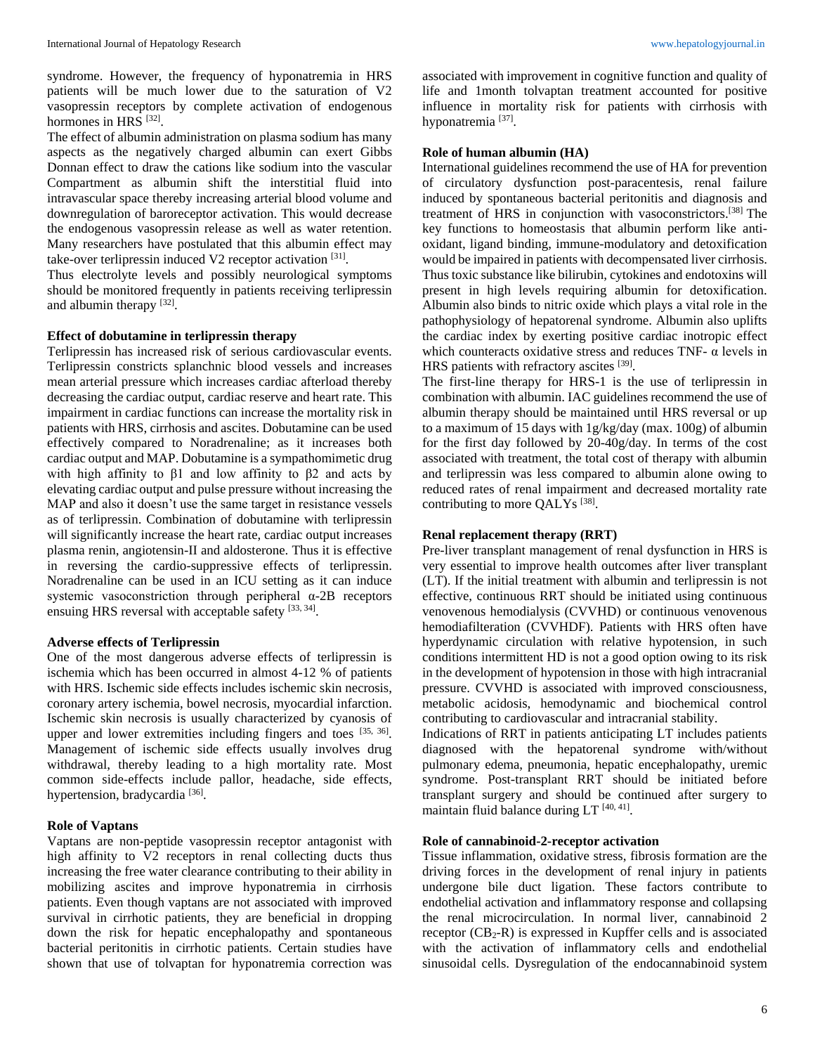syndrome. However, the frequency of hyponatremia in HRS patients will be much lower due to the saturation of V2 vasopressin receptors by complete activation of endogenous hormones in HRS<sup>[32]</sup>.

The effect of albumin administration on plasma sodium has many aspects as the negatively charged albumin can exert Gibbs Donnan effect to draw the cations like sodium into the vascular Compartment as albumin shift the interstitial fluid into intravascular space thereby increasing arterial blood volume and downregulation of baroreceptor activation. This would decrease the endogenous vasopressin release as well as water retention. Many researchers have postulated that this albumin effect may take-over terlipressin induced V2 receptor activation [31].

Thus electrolyte levels and possibly neurological symptoms should be monitored frequently in patients receiving terlipressin and albumin therapy  $[32]$ .

## **Effect of dobutamine in terlipressin therapy**

Terlipressin has increased risk of serious cardiovascular events. Terlipressin constricts splanchnic blood vessels and increases mean arterial pressure which increases cardiac afterload thereby decreasing the cardiac output, cardiac reserve and heart rate. This impairment in cardiac functions can increase the mortality risk in patients with HRS, cirrhosis and ascites. Dobutamine can be used effectively compared to Noradrenaline; as it increases both cardiac output and MAP. Dobutamine is a sympathomimetic drug with high affinity to  $β1$  and low affinity to  $β2$  and acts by elevating cardiac output and pulse pressure without increasing the MAP and also it doesn't use the same target in resistance vessels as of terlipressin. Combination of dobutamine with terlipressin will significantly increase the heart rate, cardiac output increases plasma renin, angiotensin-II and aldosterone. Thus it is effective in reversing the cardio-suppressive effects of terlipressin. Noradrenaline can be used in an ICU setting as it can induce systemic vasoconstriction through peripheral α-2B receptors ensuing HRS reversal with acceptable safety [33, 34].

### **Adverse effects of Terlipressin**

One of the most dangerous adverse effects of terlipressin is ischemia which has been occurred in almost 4-12 % of patients with HRS. Ischemic side effects includes ischemic skin necrosis, coronary artery ischemia, bowel necrosis, myocardial infarction. Ischemic skin necrosis is usually characterized by cyanosis of upper and lower extremities including fingers and toes  $[35, 36]$ . Management of ischemic side effects usually involves drug withdrawal, thereby leading to a high mortality rate. Most common side-effects include pallor, headache, side effects, hypertension, bradycardia<sup>[36]</sup>.

## **Role of Vaptans**

Vaptans are non-peptide vasopressin receptor antagonist with high affinity to V2 receptors in renal collecting ducts thus increasing the free water clearance contributing to their ability in mobilizing ascites and improve hyponatremia in cirrhosis patients. Even though vaptans are not associated with improved survival in cirrhotic patients, they are beneficial in dropping down the risk for hepatic encephalopathy and spontaneous bacterial peritonitis in cirrhotic patients. Certain studies have shown that use of tolvaptan for hyponatremia correction was

associated with improvement in cognitive function and quality of life and 1month tolvaptan treatment accounted for positive influence in mortality risk for patients with cirrhosis with hyponatremia<sup>[37]</sup>.

## **Role of human albumin (HA)**

International guidelines recommend the use of HA for prevention of circulatory dysfunction post-paracentesis, renal failure induced by spontaneous bacterial peritonitis and diagnosis and treatment of HRS in conjunction with vasoconstrictors.[38] The key functions to homeostasis that albumin perform like antioxidant, ligand binding, immune-modulatory and detoxification would be impaired in patients with decompensated liver cirrhosis. Thus toxic substance like bilirubin, cytokines and endotoxins will present in high levels requiring albumin for detoxification. Albumin also binds to nitric oxide which plays a vital role in the pathophysiology of hepatorenal syndrome. Albumin also uplifts the cardiac index by exerting positive cardiac inotropic effect which counteracts oxidative stress and reduces TNF-  $\alpha$  levels in HRS patients with refractory ascites [39].

The first-line therapy for HRS-1 is the use of terlipressin in combination with albumin. IAC guidelines recommend the use of albumin therapy should be maintained until HRS reversal or up to a maximum of 15 days with 1g/kg/day (max. 100g) of albumin for the first day followed by 20-40g/day. In terms of the cost associated with treatment, the total cost of therapy with albumin and terlipressin was less compared to albumin alone owing to reduced rates of renal impairment and decreased mortality rate contributing to more QALYs<sup>[38]</sup>.

## **Renal replacement therapy (RRT)**

Pre-liver transplant management of renal dysfunction in HRS is very essential to improve health outcomes after liver transplant (LT). If the initial treatment with albumin and terlipressin is not effective, continuous RRT should be initiated using continuous venovenous hemodialysis (CVVHD) or continuous venovenous hemodiafilteration (CVVHDF). Patients with HRS often have hyperdynamic circulation with relative hypotension, in such conditions intermittent HD is not a good option owing to its risk in the development of hypotension in those with high intracranial pressure. CVVHD is associated with improved consciousness, metabolic acidosis, hemodynamic and biochemical control contributing to cardiovascular and intracranial stability.

Indications of RRT in patients anticipating LT includes patients diagnosed with the hepatorenal syndrome with/without pulmonary edema, pneumonia, hepatic encephalopathy, uremic syndrome. Post-transplant RRT should be initiated before transplant surgery and should be continued after surgery to maintain fluid balance during  $LT$ <sup>[40, 41]</sup>.

### **Role of cannabinoid-2-receptor activation**

Tissue inflammation, oxidative stress, fibrosis formation are the driving forces in the development of renal injury in patients undergone bile duct ligation. These factors contribute to endothelial activation and inflammatory response and collapsing the renal microcirculation. In normal liver, cannabinoid 2 receptor  $(CB_2-R)$  is expressed in Kupffer cells and is associated with the activation of inflammatory cells and endothelial sinusoidal cells. Dysregulation of the endocannabinoid system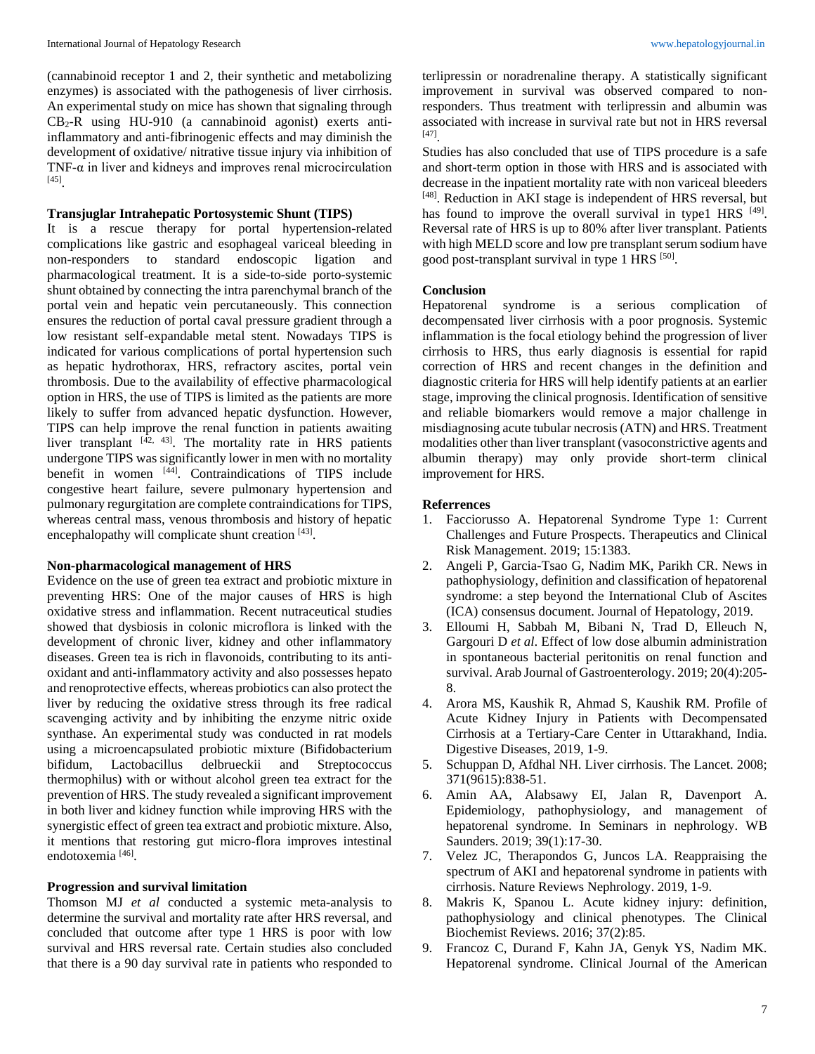(cannabinoid receptor 1 and 2, their synthetic and metabolizing enzymes) is associated with the pathogenesis of liver cirrhosis. An experimental study on mice has shown that signaling through  $CB_2-R$  using  $HU-910$  (a cannabinoid agonist) exerts antiinflammatory and anti-fibrinogenic effects and may diminish the development of oxidative/ nitrative tissue injury via inhibition of TNF- $\alpha$  in liver and kidneys and improves renal microcirculation [45] .

## **Transjuglar Intrahepatic Portosystemic Shunt (TIPS)**

It is a rescue therapy for portal hypertension-related complications like gastric and esophageal variceal bleeding in non-responders to standard endoscopic ligation and pharmacological treatment. It is a side-to-side porto-systemic shunt obtained by connecting the intra parenchymal branch of the portal vein and hepatic vein percutaneously. This connection ensures the reduction of portal caval pressure gradient through a low resistant self-expandable metal stent. Nowadays TIPS is indicated for various complications of portal hypertension such as hepatic hydrothorax, HRS, refractory ascites, portal vein thrombosis. Due to the availability of effective pharmacological option in HRS, the use of TIPS is limited as the patients are more likely to suffer from advanced hepatic dysfunction. However, TIPS can help improve the renal function in patients awaiting liver transplant  $[42, 43]$ . The mortality rate in HRS patients undergone TIPS was significantly lower in men with no mortality benefit in women [44] . Contraindications of TIPS include congestive heart failure, severe pulmonary hypertension and pulmonary regurgitation are complete contraindications for TIPS, whereas central mass, venous thrombosis and history of hepatic encephalopathy will complicate shunt creation [43].

## **Non-pharmacological management of HRS**

Evidence on the use of green tea extract and probiotic mixture in preventing HRS: One of the major causes of HRS is high oxidative stress and inflammation. Recent nutraceutical studies showed that dysbiosis in colonic microflora is linked with the development of chronic liver, kidney and other inflammatory diseases. Green tea is rich in flavonoids, contributing to its antioxidant and anti-inflammatory activity and also possesses hepato and renoprotective effects, whereas probiotics can also protect the liver by reducing the oxidative stress through its free radical scavenging activity and by inhibiting the enzyme nitric oxide synthase. An experimental study was conducted in rat models using a microencapsulated probiotic mixture (Bifidobacterium bifidum, Lactobacillus delbrueckii and Streptococcus thermophilus) with or without alcohol green tea extract for the prevention of HRS. The study revealed a significant improvement in both liver and kidney function while improving HRS with the synergistic effect of green tea extract and probiotic mixture. Also, it mentions that restoring gut micro-flora improves intestinal endotoxemia<sup>[46]</sup>.

### **Progression and survival limitation**

Thomson MJ *et al* conducted a systemic meta-analysis to determine the survival and mortality rate after HRS reversal, and concluded that outcome after type 1 HRS is poor with low survival and HRS reversal rate. Certain studies also concluded that there is a 90 day survival rate in patients who responded to

terlipressin or noradrenaline therapy. A statistically significant improvement in survival was observed compared to nonresponders. Thus treatment with terlipressin and albumin was associated with increase in survival rate but not in HRS reversal [47] .

Studies has also concluded that use of TIPS procedure is a safe and short-term option in those with HRS and is associated with decrease in the inpatient mortality rate with non variceal bleeders [48]. Reduction in AKI stage is independent of HRS reversal, but has found to improve the overall survival in type1 HRS [49]. Reversal rate of HRS is up to 80% after liver transplant. Patients with high MELD score and low pre transplant serum sodium have good post-transplant survival in type  $1$  HRS  $^{[50]}$ .

#### **Conclusion**

Hepatorenal syndrome is a serious complication of decompensated liver cirrhosis with a poor prognosis. Systemic inflammation is the focal etiology behind the progression of liver cirrhosis to HRS, thus early diagnosis is essential for rapid correction of HRS and recent changes in the definition and diagnostic criteria for HRS will help identify patients at an earlier stage, improving the clinical prognosis. Identification of sensitive and reliable biomarkers would remove a major challenge in misdiagnosing acute tubular necrosis (ATN) and HRS. Treatment modalities other than liver transplant (vasoconstrictive agents and albumin therapy) may only provide short-term clinical improvement for HRS.

#### **Referrences**

- 1. Facciorusso A. Hepatorenal Syndrome Type 1: Current Challenges and Future Prospects. Therapeutics and Clinical Risk Management. 2019; 15:1383.
- 2. Angeli P, Garcia-Tsao G, Nadim MK, Parikh CR. News in pathophysiology, definition and classification of hepatorenal syndrome: a step beyond the International Club of Ascites (ICA) consensus document. Journal of Hepatology, 2019.
- 3. Elloumi H, Sabbah M, Bibani N, Trad D, Elleuch N, Gargouri D *et al*. Effect of low dose albumin administration in spontaneous bacterial peritonitis on renal function and survival. Arab Journal of Gastroenterology. 2019; 20(4):205- 8.
- 4. Arora MS, Kaushik R, Ahmad S, Kaushik RM. Profile of Acute Kidney Injury in Patients with Decompensated Cirrhosis at a Tertiary-Care Center in Uttarakhand, India. Digestive Diseases, 2019, 1-9.
- 5. Schuppan D, Afdhal NH. Liver cirrhosis. The Lancet. 2008; 371(9615):838-51.
- 6. Amin AA, Alabsawy EI, Jalan R, Davenport A. Epidemiology, pathophysiology, and management of hepatorenal syndrome. In Seminars in nephrology. WB Saunders. 2019; 39(1):17-30.
- 7. Velez JC, Therapondos G, Juncos LA. Reappraising the spectrum of AKI and hepatorenal syndrome in patients with cirrhosis. Nature Reviews Nephrology. 2019, 1-9.
- 8. Makris K, Spanou L. Acute kidney injury: definition, pathophysiology and clinical phenotypes. The Clinical Biochemist Reviews. 2016; 37(2):85.
- 9. Francoz C, Durand F, Kahn JA, Genyk YS, Nadim MK. Hepatorenal syndrome. Clinical Journal of the American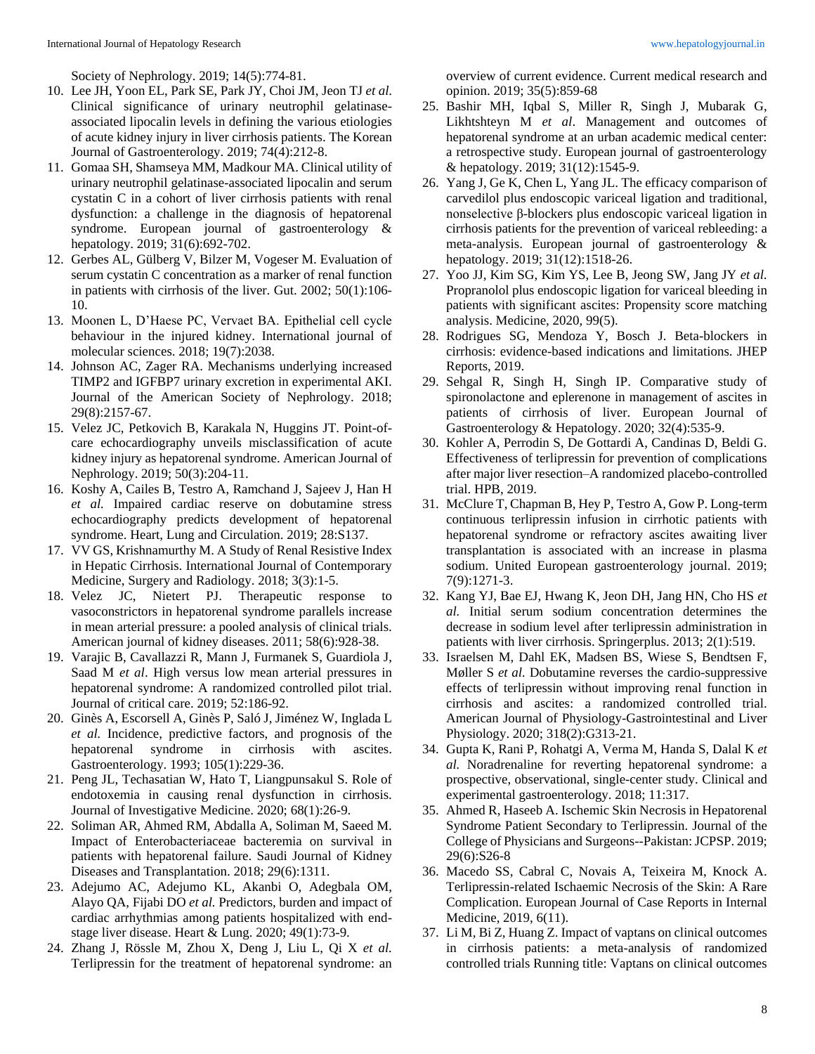Society of Nephrology. 2019; 14(5):774-81.

- 10. Lee JH, Yoon EL, Park SE, Park JY, Choi JM, Jeon TJ *et al*. Clinical significance of urinary neutrophil gelatinaseassociated lipocalin levels in defining the various etiologies of acute kidney injury in liver cirrhosis patients. The Korean Journal of Gastroenterology. 2019; 74(4):212-8.
- 11. Gomaa SH, Shamseya MM, Madkour MA. Clinical utility of urinary neutrophil gelatinase-associated lipocalin and serum cystatin C in a cohort of liver cirrhosis patients with renal dysfunction: a challenge in the diagnosis of hepatorenal syndrome. European journal of gastroenterology & hepatology. 2019; 31(6):692-702.
- 12. Gerbes AL, Gülberg V, Bilzer M, Vogeser M. Evaluation of serum cystatin C concentration as a marker of renal function in patients with cirrhosis of the liver. Gut. 2002; 50(1):106- 10.
- 13. Moonen L, D'Haese PC, Vervaet BA. Epithelial cell cycle behaviour in the injured kidney. International journal of molecular sciences. 2018; 19(7):2038.
- 14. Johnson AC, Zager RA. Mechanisms underlying increased TIMP2 and IGFBP7 urinary excretion in experimental AKI. Journal of the American Society of Nephrology. 2018; 29(8):2157-67.
- 15. Velez JC, Petkovich B, Karakala N, Huggins JT. Point-ofcare echocardiography unveils misclassification of acute kidney injury as hepatorenal syndrome. American Journal of Nephrology. 2019; 50(3):204-11.
- 16. Koshy A, Cailes B, Testro A, Ramchand J, Sajeev J, Han H *et al.* Impaired cardiac reserve on dobutamine stress echocardiography predicts development of hepatorenal syndrome. Heart, Lung and Circulation. 2019; 28:S137.
- 17. VV GS, Krishnamurthy M. A Study of Renal Resistive Index in Hepatic Cirrhosis. International Journal of Contemporary Medicine, Surgery and Radiology. 2018; 3(3):1-5.
- 18. Velez JC, Nietert PJ. Therapeutic response to vasoconstrictors in hepatorenal syndrome parallels increase in mean arterial pressure: a pooled analysis of clinical trials. American journal of kidney diseases. 2011; 58(6):928-38.
- 19. Varajic B, Cavallazzi R, Mann J, Furmanek S, Guardiola J, Saad M *et al*. High versus low mean arterial pressures in hepatorenal syndrome: A randomized controlled pilot trial. Journal of critical care. 2019; 52:186-92.
- 20. Ginès A, Escorsell A, Ginès P, Saló J, Jiménez W, Inglada L *et al.* Incidence, predictive factors, and prognosis of the hepatorenal syndrome in cirrhosis with ascites. Gastroenterology. 1993; 105(1):229-36.
- 21. Peng JL, Techasatian W, Hato T, Liangpunsakul S. Role of endotoxemia in causing renal dysfunction in cirrhosis. Journal of Investigative Medicine. 2020; 68(1):26-9.
- 22. Soliman AR, Ahmed RM, Abdalla A, Soliman M, Saeed M. Impact of Enterobacteriaceae bacteremia on survival in patients with hepatorenal failure. Saudi Journal of Kidney Diseases and Transplantation. 2018; 29(6):1311.
- 23. Adejumo AC, Adejumo KL, Akanbi O, Adegbala OM, Alayo QA, Fijabi DO *et al.* Predictors, burden and impact of cardiac arrhythmias among patients hospitalized with endstage liver disease. Heart & Lung. 2020; 49(1):73-9.
- 24. Zhang J, Rössle M, Zhou X, Deng J, Liu L, Qi X *et al.* Terlipressin for the treatment of hepatorenal syndrome: an

overview of current evidence. Current medical research and opinion. 2019; 35(5):859-68

- 25. Bashir MH, Iqbal S, Miller R, Singh J, Mubarak G, Likhtshteyn M *et al*. Management and outcomes of hepatorenal syndrome at an urban academic medical center: a retrospective study. European journal of gastroenterology & hepatology. 2019; 31(12):1545-9.
- 26. Yang J, Ge K, Chen L, Yang JL. The efficacy comparison of carvedilol plus endoscopic variceal ligation and traditional, nonselective β-blockers plus endoscopic variceal ligation in cirrhosis patients for the prevention of variceal rebleeding: a meta-analysis. European journal of gastroenterology & hepatology. 2019; 31(12):1518-26.
- 27. Yoo JJ, Kim SG, Kim YS, Lee B, Jeong SW, Jang JY *et al.* Propranolol plus endoscopic ligation for variceal bleeding in patients with significant ascites: Propensity score matching analysis. Medicine, 2020, 99(5).
- 28. Rodrigues SG, Mendoza Y, Bosch J. Beta-blockers in cirrhosis: evidence-based indications and limitations. JHEP Reports, 2019.
- 29. Sehgal R, Singh H, Singh IP. Comparative study of spironolactone and eplerenone in management of ascites in patients of cirrhosis of liver. European Journal of Gastroenterology & Hepatology. 2020; 32(4):535-9.
- 30. Kohler A, Perrodin S, De Gottardi A, Candinas D, Beldi G. Effectiveness of terlipressin for prevention of complications after major liver resection–A randomized placebo-controlled trial. HPB, 2019.
- 31. McClure T, Chapman B, Hey P, Testro A, Gow P. Long-term continuous terlipressin infusion in cirrhotic patients with hepatorenal syndrome or refractory ascites awaiting liver transplantation is associated with an increase in plasma sodium. United European gastroenterology journal. 2019; 7(9):1271-3.
- 32. Kang YJ, Bae EJ, Hwang K, Jeon DH, Jang HN, Cho HS *et al.* Initial serum sodium concentration determines the decrease in sodium level after terlipressin administration in patients with liver cirrhosis. Springerplus. 2013; 2(1):519.
- 33. Israelsen M, Dahl EK, Madsen BS, Wiese S, Bendtsen F, Møller S *et al.* Dobutamine reverses the cardio-suppressive effects of terlipressin without improving renal function in cirrhosis and ascites: a randomized controlled trial. American Journal of Physiology-Gastrointestinal and Liver Physiology. 2020; 318(2):G313-21.
- 34. Gupta K, Rani P, Rohatgi A, Verma M, Handa S, Dalal K *et al.* Noradrenaline for reverting hepatorenal syndrome: a prospective, observational, single-center study. Clinical and experimental gastroenterology. 2018; 11:317.
- 35. Ahmed R, Haseeb A. Ischemic Skin Necrosis in Hepatorenal Syndrome Patient Secondary to Terlipressin. Journal of the College of Physicians and Surgeons--Pakistan: JCPSP. 2019; 29(6):S26-8
- 36. Macedo SS, Cabral C, Novais A, Teixeira M, Knock A. Terlipressin-related Ischaemic Necrosis of the Skin: A Rare Complication. European Journal of Case Reports in Internal Medicine, 2019, 6(11).
- 37. Li M, Bi Z, Huang Z. Impact of vaptans on clinical outcomes in cirrhosis patients: a meta-analysis of randomized controlled trials Running title: Vaptans on clinical outcomes